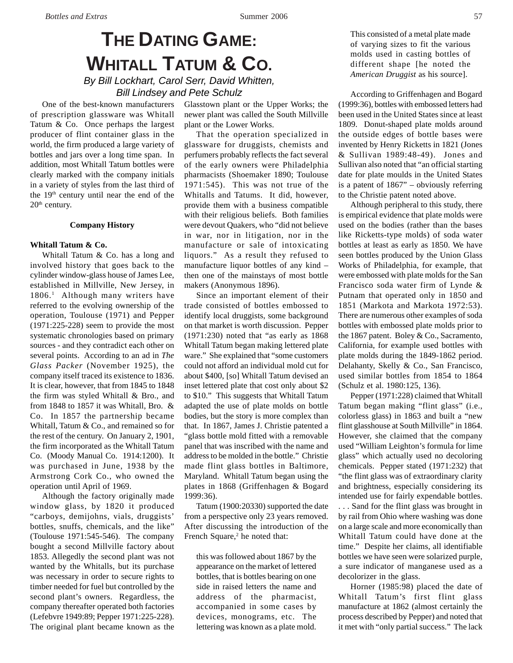# **THE DATING GAME: WHITALL TATUM & CO.** *By Bill Lockhart, Carol Serr, David Whitten,*

*Bill Lindsey and Pete Schulz*

One of the best-known manufacturers of prescription glassware was Whitall Tatum & Co. Once perhaps the largest producer of flint container glass in the world, the firm produced a large variety of bottles and jars over a long time span. In addition, most Whitall Tatum bottles were clearly marked with the company initials in a variety of styles from the last third of the 19<sup>th</sup> century until near the end of the  $20<sup>th</sup>$  century.

#### **Company History**

#### **Whitall Tatum & Co.**

Whitall Tatum & Co. has a long and involved history that goes back to the cylinder window-glass house of James Lee, established in Millville, New Jersey, in 1806.<sup>1</sup> Although many writers have referred to the evolving ownership of the operation, Toulouse (1971) and Pepper (1971:225-228) seem to provide the most systematic chronologies based on primary sources - and they contradict each other on several points. According to an ad in *The Glass Packer* (November 1925), the company itself traced its existence to 1836. It is clear, however, that from 1845 to 1848 the firm was styled Whitall & Bro., and from 1848 to 1857 it was Whitall, Bro. & Co. In 1857 the partnership became Whitall, Tatum & Co., and remained so for the rest of the century. On January 2, 1901, the firm incorporated as the Whitall Tatum Co. (Moody Manual Co. 1914:1200). It was purchased in June, 1938 by the Armstrong Cork Co., who owned the operation until April of 1969.

Although the factory originally made window glass, by 1820 it produced "carboys, demijohns, vials, druggists' bottles, snuffs, chemicals, and the like" (Toulouse 1971:545-546). The company bought a second Millville factory about 1853. Allegedly the second plant was not wanted by the Whitalls, but its purchase was necessary in order to secure rights to timber needed for fuel but controlled by the second plant's owners. Regardless, the company thereafter operated both factories (Lefebvre 1949:89; Pepper 1971:225-228). The original plant became known as the

Glasstown plant or the Upper Works; the newer plant was called the South Millville plant or the Lower Works.

That the operation specialized in glassware for druggists, chemists and perfumers probably reflects the fact several of the early owners were Philadelphia pharmacists (Shoemaker 1890; Toulouse 1971:545). This was not true of the Whitalls and Tatums. It did, however, provide them with a business compatible with their religious beliefs. Both families were devout Quakers, who "did not believe in war, nor in litigation, nor in the manufacture or sale of intoxicating liquors." As a result they refused to manufacture liquor bottles of any kind – then one of the mainstays of most bottle makers (Anonymous 1896).

Since an important element of their trade consisted of bottles embossed to identify local druggists, some background on that market is worth discussion. Pepper (1971:230) noted that "as early as 1868 Whitall Tatum began making lettered plate ware." She explained that "some customers could not afford an individual mold cut for about \$400, [so] Whitall Tatum devised an inset lettered plate that cost only about \$2 to \$10." This suggests that Whitall Tatum adapted the use of plate molds on bottle bodies, but the story is more complex than that. In 1867, James J. Christie patented a "glass bottle mold fitted with a removable panel that was inscribed with the name and address to be molded in the bottle." Christie made flint glass bottles in Baltimore, Maryland. Whitall Tatum began using the plates in 1868 (Griffenhagen & Bogard 1999:36).

Tatum (1900:20330) supported the date from a perspective only 23 years removed. After discussing the introduction of the French Square,<sup>2</sup> he noted that:

this was followed about 1867 by the appearance on the market of lettered bottles, that is bottles bearing on one side in raised letters the name and address of the pharmacist, accompanied in some cases by devices, monograms, etc. The lettering was known as a plate mold. This consisted of a metal plate made of varying sizes to fit the various molds used in casting bottles of different shape [he noted the *American Druggist* as his source].

According to Griffenhagen and Bogard (1999:36), bottles with embossed letters had been used in the United States since at least 1809. Donut-shaped plate molds around the outside edges of bottle bases were invented by Henry Ricketts in 1821 (Jones & Sullivan 1989:48-49). Jones and Sullivan also noted that "an official starting date for plate moulds in the United States is a patent of 1867" – obviously referring to the Christie patent noted above.

Although peripheral to this study, there is empirical evidence that plate molds were used on the bodies (rather than the bases like Ricketts-type molds) of soda water bottles at least as early as 1850. We have seen bottles produced by the Union Glass Works of Philadelphia, for example, that were embossed with plate molds for the San Francisco soda water firm of Lynde & Putnam that operated only in 1850 and 1851 (Markota and Markota 1972:53). There are numerous other examples of soda bottles with embossed plate molds prior to the 1867 patent. Boley & Co., Sacramento, California, for example used bottles with plate molds during the 1849-1862 period. Delahanty, Skelly & Co., San Francisco, used similar bottles from 1854 to 1864 (Schulz et al. 1980:125, 136).

Pepper (1971:228) claimed that Whitall Tatum began making "flint glass" (i.e., colorless glass) in 1863 and built a "new flint glasshouse at South Millville" in 1864. However, she claimed that the company used "William Leighton's formula for lime glass" which actually used no decoloring chemicals. Pepper stated (1971:232) that "the flint glass was of extraordinary clarity and brightness, especially considering its intended use for fairly expendable bottles. . . . Sand for the flint glass was brought in by rail from Ohio where washing was done on a large scale and more economically than Whitall Tatum could have done at the time." Despite her claims, all identifiable bottles we have seen were solarized purple, a sure indicator of manganese used as a decolorizer in the glass.

Horner (1985:98) placed the date of Whitall Tatum's first flint glass manufacture at 1862 (almost certainly the process described by Pepper) and noted that it met with "only partial success." The lack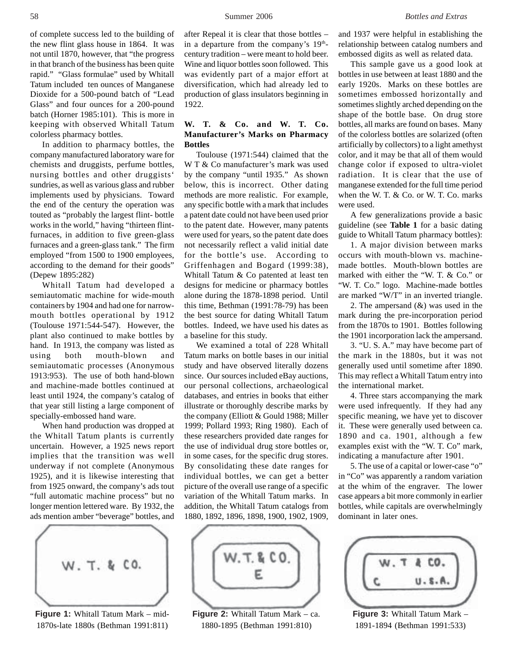of complete success led to the building of the new flint glass house in 1864. It was not until 1870, however, that "the progress in that branch of the business has been quite rapid." "Glass formulae" used by Whitall Tatum included ten ounces of Manganese Dioxide for a 500-pound batch of "Lead Glass" and four ounces for a 200-pound batch (Horner 1985:101). This is more in keeping with observed Whitall Tatum colorless pharmacy bottles.

In addition to pharmacy bottles, the company manufactured laboratory ware for chemists and druggists, perfume bottles, nursing bottles and other druggists' sundries, as well as various glass and rubber implements used by physicians. Toward the end of the century the operation was touted as "probably the largest flint- bottle works in the world," having "thirteen flintfurnaces, in addition to five green-glass furnaces and a green-glass tank." The firm employed "from 1500 to 1900 employees, according to the demand for their goods" (Depew 1895:282)

Whitall Tatum had developed a semiautomatic machine for wide-mouth containers by 1904 and had one for narrowmouth bottles operational by 1912 (Toulouse 1971:544-547). However, the plant also continued to make bottles by hand. In 1913, the company was listed as using both mouth-blown and semiautomatic processes (Anonymous 1913:953). The use of both hand-blown and machine-made bottles continued at least until 1924, the company's catalog of that year still listing a large component of specially-embossed hand ware.

When hand production was dropped at the Whitall Tatum plants is currently uncertain. However, a 1925 news report implies that the transition was well underway if not complete (Anonymous 1925), and it is likewise interesting that from 1925 onward, the company's ads tout "full automatic machine process" but no longer mention lettered ware. By 1932, the ads mention amber "beverage" bottles, and



**Figure 1:** Whitall Tatum Mark – mid-1870s-late 1880s (Bethman 1991:811)

after Repeal it is clear that those bottles – in a departure from the company's  $19<sup>th</sup>$ century tradition – were meant to hold beer. Wine and liquor bottles soon followed. This was evidently part of a major effort at diversification, which had already led to production of glass insulators beginning in 1922.

# **W. T. & Co. and W. T. Co. Manufacturer's Marks on Pharmacy Bottles**

Toulouse (1971:544) claimed that the W T & Co manufacturer's mark was used by the company "until 1935." As shown below, this is incorrect. Other dating methods are more realistic. For example, any specific bottle with a mark that includes a patent date could not have been used prior to the patent date. However, many patents were used for years, so the patent date does not necessarily reflect a valid initial date for the bottle's use. According to Griffenhagen and Bogard (1999:38), Whitall Tatum & Co patented at least ten designs for medicine or pharmacy bottles alone during the 1878-1898 period. Until this time, Bethman (1991:78-79) has been the best source for dating Whitall Tatum bottles. Indeed, we have used his dates as a baseline for this study.

We examined a total of 228 Whitall Tatum marks on bottle bases in our initial study and have observed literally dozens since. Our sources included eBay auctions, our personal collections, archaeological databases, and entries in books that either illustrate or thoroughly describe marks by the company (Elliott & Gould 1988; Miller 1999; Pollard 1993; Ring 1980). Each of these researchers provided date ranges for the use of individual drug store bottles or, in some cases, for the specific drug stores. By consolidating these date ranges for individual bottles, we can get a better picture of the overall use range of a specific variation of the Whitall Tatum marks. In addition, the Whitall Tatum catalogs from 1880, 1892, 1896, 1898, 1900, 1902, 1909,



**Figure 2:** Whitall Tatum Mark – ca. 1880-1895 (Bethman 1991:810)

and 1937 were helpful in establishing the relationship between catalog numbers and embossed digits as well as related data.

This sample gave us a good look at bottles in use between at least 1880 and the early 1920s. Marks on these bottles are sometimes embossed horizontally and sometimes slightly arched depending on the shape of the bottle base. On drug store bottles, all marks are found on bases. Many of the colorless bottles are solarized (often artificially by collectors) to a light amethyst color, and it may be that all of them would change color if exposed to ultra-violet radiation. It is clear that the use of manganese extended for the full time period when the W. T. & Co. or W. T. Co. marks were used.

A few generalizations provide a basic guideline (see **Table 1** for a basic dating guide to Whitall Tatum pharmacy bottles):

1. A major division between marks occurs with mouth-blown vs. machinemade bottles. Mouth-blown bottles are marked with either the "W. T. & Co." or "W. T. Co." logo. Machine-made bottles are marked "W/T" in an inverted triangle.

2. The ampersand (&) was used in the mark during the pre-incorporation period from the 1870s to 1901. Bottles following the 1901 incorporation lack the ampersand.

3. "U. S. A." may have become part of the mark in the 1880s, but it was not generally used until sometime after 1890. This may reflect a Whitall Tatum entry into the international market.

4. Three stars accompanying the mark were used infrequently. If they had any specific meaning, we have yet to discover it. These were generally used between ca. 1890 and ca. 1901, although a few examples exist with the "W. T. Co" mark, indicating a manufacture after 1901.

5. The use of a capital or lower-case "o" in "Co" was apparently a random variation at the whim of the engraver. The lower case appears a bit more commonly in earlier bottles, while capitals are overwhelmingly dominant in later ones.

| a rich<br>÷<br>× |
|------------------|
|                  |

**Figure 3:** Whitall Tatum Mark – 1891-1894 (Bethman 1991:533)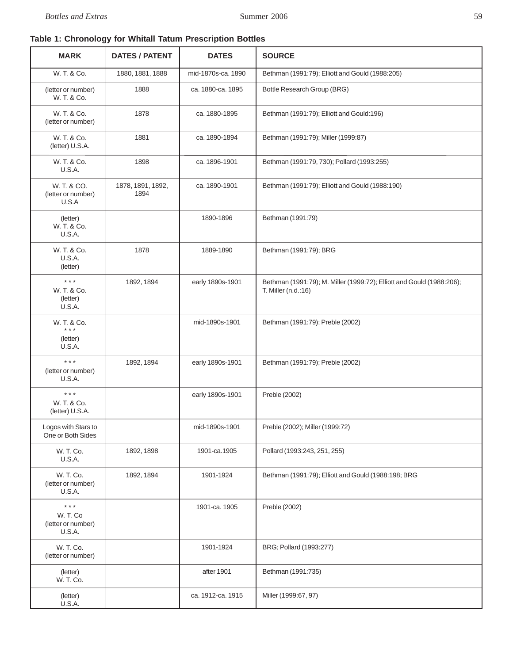# **Table 1: Chronology for Whitall Tatum Prescription Bottles**

| <b>MARK</b>                                                     | <b>DATES / PATENT</b>     | <b>DATES</b>       | <b>SOURCE</b>                                                                                |
|-----------------------------------------------------------------|---------------------------|--------------------|----------------------------------------------------------------------------------------------|
| W. T. & Co.                                                     | 1880, 1881, 1888          | mid-1870s-ca. 1890 | Bethman (1991:79); Elliott and Gould (1988:205)                                              |
| (letter or number)<br>W. T. & Co.                               | 1888                      | ca. 1880-ca. 1895  | Bottle Research Group (BRG)                                                                  |
| W. T. & Co.<br>(letter or number)                               | 1878                      | ca. 1880-1895      | Bethman (1991:79); Elliott and Gould:196)                                                    |
| W. T. & Co.<br>(letter) U.S.A.                                  | 1881                      | ca. 1890-1894      | Bethman (1991:79); Miller (1999:87)                                                          |
| W. T. & Co.<br><b>U.S.A.</b>                                    | 1898                      | ca. 1896-1901      | Bethman (1991:79, 730); Pollard (1993:255)                                                   |
| W. T. & CO.<br>(letter or number)<br>U.S.A                      | 1878, 1891, 1892,<br>1894 | ca. 1890-1901      | Bethman (1991:79); Elliott and Gould (1988:190)                                              |
| (letter)<br>W. T. & Co.<br>U.S.A.                               |                           | 1890-1896          | Bethman (1991:79)                                                                            |
| W. T. & Co.<br>U.S.A.<br>(letter)                               | 1878                      | 1889-1890          | Bethman (1991:79); BRG                                                                       |
| $\star \star \star$<br>W. T. & Co.<br>(letter)<br><b>U.S.A.</b> | 1892, 1894                | early 1890s-1901   | Bethman (1991:79); M. Miller (1999:72); Elliott and Gould (1988:206);<br>T. Miller (n.d.:16) |
| W. T. & Co.<br>$***$                                            |                           | mid-1890s-1901     | Bethman (1991:79); Preble (2002)                                                             |
| (letter)<br>U.S.A.                                              |                           |                    |                                                                                              |
| $* * *$<br>(letter or number)<br>U.S.A.                         | 1892, 1894                | early 1890s-1901   | Bethman (1991:79); Preble (2002)                                                             |
| $\star$ $\star$ $\star$<br>W. T. & Co.<br>(letter) U.S.A.       |                           | early 1890s-1901   | Preble (2002)                                                                                |
| Logos with Stars to<br>One or Both Sides                        |                           | mid-1890s-1901     | Preble (2002); Miller (1999:72)                                                              |
| W. T. Co.<br>U.S.A.                                             | 1892, 1898                | 1901-ca.1905       | Pollard (1993:243, 251, 255)                                                                 |
| W. T. Co.<br>(letter or number)<br><b>U.S.A.</b>                | 1892, 1894                | 1901-1924          | Bethman (1991:79); Elliott and Gould (1988:198; BRG                                          |
| $***$<br>W. T. Co<br>(letter or number)<br><b>U.S.A.</b>        |                           | 1901-ca. 1905      | Preble (2002)                                                                                |
| W. T. Co.<br>(letter or number)                                 |                           | 1901-1924          | BRG; Pollard (1993:277)                                                                      |
| (letter)<br>W. T. Co.                                           |                           | after 1901         | Bethman (1991:735)                                                                           |
| (letter)<br>U.S.A.                                              |                           | ca. 1912-ca. 1915  | Miller (1999:67, 97)                                                                         |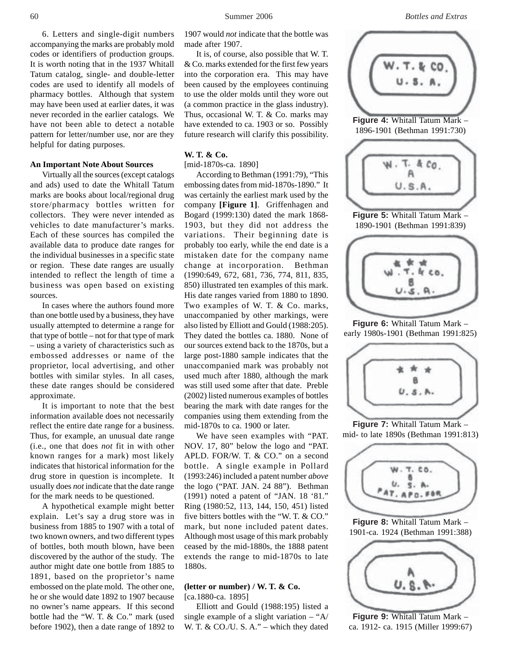6. Letters and single-digit numbers accompanying the marks are probably mold codes or identifiers of production groups. It is worth noting that in the 1937 Whitall Tatum catalog, single- and double-letter codes are used to identify all models of pharmacy bottles. Although that system may have been used at earlier dates, it was never recorded in the earlier catalogs. We have not been able to detect a notable pattern for letter/number use, nor are they helpful for dating purposes.

#### **An Important Note About Sources**

Virtually all the sources (except catalogs and ads) used to date the Whitall Tatum marks are books about local/regional drug store/pharmacy bottles written for collectors. They were never intended as vehicles to date manufacturer's marks. Each of these sources has compiled the available data to produce date ranges for the individual businesses in a specific state or region. These date ranges are usually intended to reflect the length of time a business was open based on existing sources.

In cases where the authors found more than one bottle used by a business, they have usually attempted to determine a range for that type of bottle – not for that type of mark – using a variety of characteristics such as embossed addresses or name of the proprietor, local advertising, and other bottles with similar styles. In all cases, these date ranges should be considered approximate.

It is important to note that the best information available does not necessarily reflect the entire date range for a business. Thus, for example, an unusual date range (i.e., one that does *not* fit in with other known ranges for a mark) most likely indicates that historical information for the drug store in question is incomplete. It usually does *not* indicate that the date range for the mark needs to be questioned.

A hypothetical example might better explain. Let's say a drug store was in business from 1885 to 1907 with a total of two known owners, and two different types of bottles, both mouth blown, have been discovered by the author of the study. The author might date one bottle from 1885 to 1891, based on the proprietor's name embossed on the plate mold. The other one, he or she would date 1892 to 1907 because no owner's name appears. If this second bottle had the "W. T. & Co." mark (used before 1902), then a date range of 1892 to



**Figure 8:** Whitall Tatum Mark – 1901-ca. 1924 (Bethman 1991:388)



**Figure 9:** Whitall Tatum Mark – ca. 1912- ca. 1915 (Miller 1999:67)

1907 would *not* indicate that the bottle was made after 1907.

It is, of course, also possible that W. T. & Co. marks extended for the first few years into the corporation era. This may have been caused by the employees continuing to use the older molds until they wore out (a common practice in the glass industry). Thus, occasional W. T. & Co. marks may have extended to ca. 1903 or so. Possibly future research will clarify this possibility.

# **W. T. & Co.**

[mid-1870s-ca. 1890]

According to Bethman (1991:79), "This embossing dates from mid-1870s-1890." It was certainly the earliest mark used by the company **[Figure 1]**. Griffenhagen and Bogard (1999:130) dated the mark 1868- 1903, but they did not address the variations. Their beginning date is probably too early, while the end date is a mistaken date for the company name change at incorporation. Bethman (1990:649, 672, 681, 736, 774, 811, 835, 850) illustrated ten examples of this mark. His date ranges varied from 1880 to 1890. Two examples of W. T. & Co. marks, unaccompanied by other markings, were also listed by Elliott and Gould (1988:205). They dated the bottles ca. 1880. None of our sources extend back to the 1870s, but a large post-1880 sample indicates that the unaccompanied mark was probably not used much after 1880, although the mark was still used some after that date. Preble (2002) listed numerous examples of bottles bearing the mark with date ranges for the companies using them extending from the mid-1870s to ca. 1900 or later.

We have seen examples with "PAT. NOV. 17, 80" below the logo and "PAT. APLD. FOR/W. T. & CO." on a second bottle. A single example in Pollard (1993:246) included a patent number *above* the logo ("PAT. JAN. 24 88"). Bethman (1991) noted a patent of "JAN. 18 '81." Ring (1980:52, 113, 144, 150, 451) listed five bitters bottles with the "W. T. & CO." mark, but none included patent dates. Although most usage of this mark probably ceased by the mid-1880s, the 1888 patent extends the range to mid-1870s to late 1880s.

#### **(letter or number) / W. T. & Co.** [ca.1880-ca. 1895]

Elliott and Gould (1988:195) listed a single example of a slight variation – "A/ W. T. & CO./U. S. A." – which they dated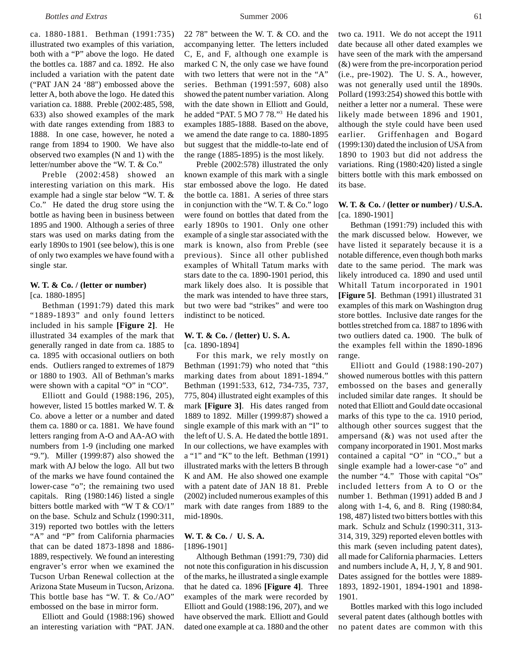ca. 1880-1881. Bethman (1991:735) illustrated two examples of this variation, both with a "P" above the logo. He dated the bottles ca. 1887 and ca. 1892. He also included a variation with the patent date ("PAT JAN 24 '88") embossed above the letter A, both above the logo. He dated this variation ca. 1888. Preble (2002:485, 598, 633) also showed examples of the mark with date ranges extending from 1883 to 1888. In one case, however, he noted a range from 1894 to 1900. We have also observed two examples (N and 1) with the letter/number above the "W. T. & Co."

Preble (2002:458) showed an interesting variation on this mark. His example had a single star below "W. T. & Co." He dated the drug store using the bottle as having been in business between 1895 and 1900. Although a series of three stars was used on marks dating from the early 1890s to 1901 (see below), this is one of only two examples we have found with a single star.

# **W. T. & Co. / (letter or number)**

[ca. 1880-1895]

Bethman (1991:79) dated this mark "1889-1893" and only found letters included in his sample **[Figure 2]**. He illustrated 34 examples of the mark that generally ranged in date from ca. 1885 to ca. 1895 with occasional outliers on both ends. Outliers ranged to extremes of 1879 or 1880 to 1903. All of Bethman's marks were shown with a capital "O" in "CO".

Elliott and Gould (1988:196, 205), however, listed 15 bottles marked W. T. & Co. above a letter or a number and dated them ca. 1880 or ca. 1881. We have found letters ranging from A-O and AA-AO with numbers from 1-9 (including one marked "9."). Miller (1999:87) also showed the mark with AJ below the logo. All but two of the marks we have found contained the lower-case "o"; the remaining two used capitals. Ring (1980:146) listed a single bitters bottle marked with "W T & CO/1" on the base. Schulz and Schulz (1990:311, 319) reported two bottles with the letters "A" and "P" from California pharmacies that can be dated 1873-1898 and 1886- 1889, respectively. We found an interesting engraver's error when we examined the Tucson Urban Renewal collection at the Arizona State Museum in Tucson, Arizona. This bottle base has "W. T. & Co./AO" embossed on the base in mirror form.

Elliott and Gould (1988:196) showed an interesting variation with "PAT. JAN. 22 78" between the W. T. & CO. and the accompanying letter. The letters included C, E, and F, although one example is marked C N, the only case we have found with two letters that were not in the "A" series. Bethman (1991:597, 608) also showed the patent number variation. Along with the date shown in Elliott and Gould, he added "PAT. 5 MO 7 78."3 He dated his examples 1885-1888. Based on the above, we amend the date range to ca. 1880-1895 but suggest that the middle-to-late end of the range (1885-1895) is the most likely.

Preble (2002:578) illustrated the only known example of this mark with a single star embossed above the logo. He dated the bottle ca. 1881. A series of three stars in conjunction with the "W. T. & Co." logo were found on bottles that dated from the early 1890s to 1901. Only one other example of a single star associated with the mark is known, also from Preble (see previous). Since all other published examples of Whitall Tatum marks with stars date to the ca. 1890-1901 period, this mark likely does also. It is possible that the mark was intended to have three stars, but two were bad "strikes" and were too indistinct to be noticed.

### **W. T. & Co. / (letter) U. S. A.** [ca. 1890-1894]

For this mark, we rely mostly on Bethman (1991:79) who noted that "this marking dates from about 1891-1894." Bethman (1991:533, 612, 734-735, 737, 775, 804) illustrated eight examples of this mark **[Figure 3]**. His dates ranged from 1889 to 1892. Miller (1999:87) showed a single example of this mark with an "I" to the left of U. S. A. He dated the bottle 1891. In our collections, we have examples with a "1" and "K" to the left. Bethman (1991) illustrated marks with the letters B through K and AM. He also showed one example with a patent date of JAN 18 81. Preble (2002) included numerous examples of this mark with date ranges from 1889 to the mid-1890s.

### **W. T. & Co. / U. S. A.** [1896-1901]

Although Bethman (1991:79, 730) did not note this configuration in his discussion of the marks, he illustrated a single example that he dated ca. 1896 **[Figure 4]**. Three examples of the mark were recorded by Elliott and Gould (1988:196, 207), and we have observed the mark. Elliott and Gould dated one example at ca. 1880 and the other

two ca. 1911. We do not accept the 1911 date because all other dated examples we have seen of the mark with the ampersand (&) were from the pre-incorporation period (i.e., pre-1902). The U. S. A., however, was not generally used until the 1890s. Pollard (1993:254) showed this bottle with neither a letter nor a numeral. These were likely made between 1896 and 1901, although the style could have been used earlier. Griffenhagen and Bogard (1999:130) dated the inclusion of USA from 1890 to 1903 but did not address the variations. Ring (1980:420) listed a single bitters bottle with this mark embossed on its base.

#### **W. T. & Co. / (letter or number) / U.S.A.** [ca. 1890-1901]

Bethman (1991:79) included this with the mark discussed below. However, we have listed it separately because it is a notable difference, even though both marks date to the same period. The mark was likely introduced ca. 1890 and used until Whitall Tatum incorporated in 1901 **[Figure 5]**. Bethman (1991) illustrated 31 examples of this mark on Washington drug store bottles. Inclusive date ranges for the bottles stretched from ca. 1887 to 1896 with two outliers dated ca. 1900. The bulk of the examples fell within the 1890-1896 range.

Elliott and Gould (1988:190-207) showed numerous bottles with this pattern embossed on the bases and generally included similar date ranges. It should be noted that Elliott and Gould date occasional marks of this type to the ca. 1910 period, although other sources suggest that the ampersand (&) was not used after the company incorporated in 1901. Most marks contained a capital "O" in "CO.," but a single example had a lower-case "o" and the number "4." Those with capital "Os" included letters from A to O or the number 1. Bethman (1991) added B and J along with 1-4, 6, and 8. Ring (1980:84, 198, 487) listed two bitters bottles with this mark. Schulz and Schulz (1990:311, 313- 314, 319, 329) reported eleven bottles with this mark (seven including patent dates), all made for California pharmacies. Letters and numbers include A, H, J, Y, 8 and 901. Dates assigned for the bottles were 1889- 1893, 1892-1901, 1894-1901 and 1898- 1901.

Bottles marked with this logo included several patent dates (although bottles with no patent dates are common with this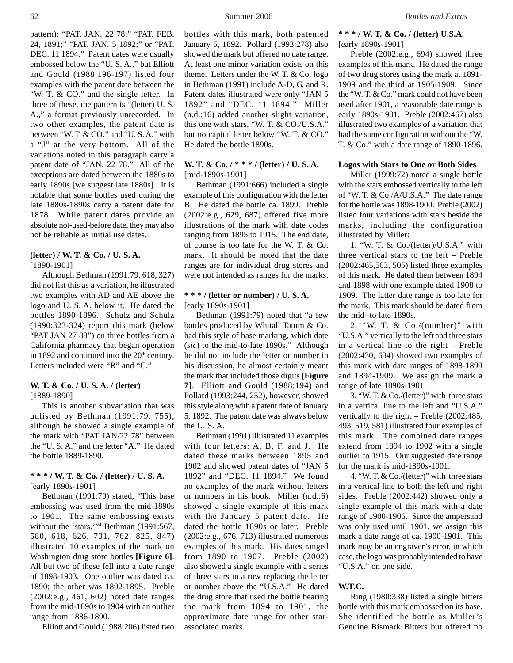pattern): "PAT. JAN. 22 78;" "PAT. FEB. 24, 1891;" "PAT. JAN. 5 1892;" or "PAT. DEC. 11 1894." Patent dates were usually embossed below the "U. S. A.," but Elliott and Gould (1988:196-197) listed four examples with the patent date between the "W. T. & CO." and the single letter. In three of these, the pattern is "(letter) U. S. A.," a format previously unrecorded. In two other examples, the patent date is between "W. T. & CO." and "U. S. A." with a "J" at the very bottom. All of the variations noted in this paragraph carry a patent date of "JAN. 22 78." All of the exceptions are dated between the 1880s to early 1890s [we suggest late 1880s]. It is notable that some bottles used during the late 1880s-1890s carry a patent date for 1878. While patent dates provide an absolute not-used-before date, they may also not be reliable as initial use dates.

# **(letter) / W. T. & Co. / U. S. A.** [1890-1901]

Although Bethman (1991:79, 618, 327) did not list this as a variation, he illustrated two examples with AD and AE above the logo and U. S. A. below it. He dated the bottles 1890-1896. Schulz and Schulz (1990:323-324) report this mark (below "PAT JAN 27 88") on three bottles from a California pharmacy that began operation in 1892 and continued into the 20<sup>th</sup> century. Letters included were "B" and "C."

### **W. T. & Co. / U. S. A. / (letter)** [1889-1890]

This is another subvariation that was unlisted by Bethman (1991:79, 755), although he showed a single example of the mark with "PAT JAN/22 78" between the "U. S. A." and the letter "A." He dated the bottle 1889-1890.

## **\* \* \* / W. T. & Co. / (letter) / U. S. A.** [early 1890s-1901]

Bethman (1991:79) stated, "This base embossing was used from the mid-1890s to 1901. The same embossing exists without the 'stars.'" Bethman (1991:567, 580, 618, 626, 731, 762, 825, 847) illustrated 10 examples of the mark on Washington drug store bottles **[Figure 6]**. All but two of these fell into a date range of 1898-1903. One outlier was dated ca. 1890; the other was 1892-1895. Preble (2002:e.g., 461, 602) noted date ranges from the mid-1890s to 1904 with an outlier range from 1886-1890.

Elliott and Gould (1988:206) listed two

bottles with this mark, both patented January 5, 1892. Pollard (1993:278) also showed the mark but offered no date range. At least one minor variation exists on this theme. Letters under the W. T. & Co. logo in Bethman (1991) include A-D, G, and R. Patent dates illustrated were only "JAN 5 1892" and "DEC. 11 1894." Miller (n.d.:16) added another slight variation, this one with stars, "W. T. & CO./U.S.A." but no capital letter below "W. T. & CO." He dated the bottle 1890s.

# **W. T. & Co. / \* \* \* / (letter) / U. S. A.** [mid-1890s-1901]

Bethman (1991:666) included a single example of this configuration with the letter B. He dated the bottle ca. 1899. Preble (2002:e.g., 629, 687) offered five more illustrations of the mark with date codes ranging from 1895 to 1915. The end date, of course is too late for the W. T. & Co. mark. It should be noted that the date ranges are for individual drug stores and were not intended as ranges for the marks.

### **\* \* \* / (letter or number) / U. S. A.** [early 1890s-1901]

Bethman (1991:79) noted that "a few bottles produced by Whitall Tatum & Co. had this style of base marking, which date (*sic*) to the mid-to-late 1890s." Although he did not include the letter or number in his discussion, he almost certainly meant the mark that included those digits **[Figure 7]**. Elliott and Gould (1988:194) and Pollard (1993:244, 252), however, showed this style along with a patent date of January 5, 1892. The patent date was always below the U. S. A.

Bethman (1991) illustrated 11 examples with four letters: A, B, F, and J. He dated these marks between 1895 and 1902 and showed patent dates of "JAN 5 1892" and "DEC. 11 1894." We found no examples of the mark without letters or numbers in his book. Miller (n.d.:6) showed a single example of this mark with the January 5 patent date. He dated the bottle 1890s or later. Preble (2002:e.g., 676, 713) illustrated numerous examples of this mark. His dates ranged from 1890 to 1907. Preble (2002) also showed a single example with a series of three stars in a row replacing the letter or number above the "U.S.A." He dated the drug store that used the bottle bearing the mark from 1894 to 1901, the approximate date range for other starassociated marks.

**\* \* \* / W. T. & Co. / (letter) U.S.A.** [early 1890s-1901]

Preble (2002:e.g., 694) showed three examples of this mark. He dated the range of two drug stores using the mark at 1891- 1909 and the third at 1905-1909. Since the "W. T. & Co." mark could not have been used after 1901, a reasonable date range is early 1890s-1901. Preble (2002:467) also illustrated two examples of a variation that had the same configuration without the "W. T. & Co." with a date range of 1890-1896.

#### **Logos with Stars to One or Both Sides**

Miller (1999:72) noted a single bottle with the stars embossed vertically to the left of "W. T. & Co./A/U.S.A." The date range for the bottle was 1898-1900. Preble (2002) listed four variations with stars beside the marks, including the configuration illustrated by Miller:

1. "W. T. & Co./(letter)/U.S.A." with three vertical stars to the left – Preble (2002:465,503, 505) listed three examples of this mark. He dated them between 1894 and 1898 with one example dated 1908 to 1909. The latter date range is too late for the mark. This mark should be dated from the mid- to late 1890s.

2. "W. T. & Co./(number)" with "U.S.A." vertically to the left and three stars in a vertical line to the right – Preble (2002:430, 634) showed two examples of this mark with date ranges of 1898-1899 and 1894-1909. We assign the mark a range of late 1890s-1901.

3. "W. T. & Co./(letter)" with three stars in a vertical line to the left and "U.S.A." vertically to the right – Preble (2002:485, 493, 519, 581) illustrated four examples of this mark. The combined date ranges extend from 1894 to 1902 with a single outlier to 1915. Our suggested date range for the mark is mid-1890s-1901.

4. "W. T. & Co./(letter)" with three stars in a vertical line to both the left and right sides. Preble (2002:442) showed only a single example of this mark with a date range of 1900-1906. Since the ampersand was only used until 1901, we assign this mark a date range of ca. 1900-1901. This mark may be an engraver's error, in which case, the logo was probably intended to have "U.S.A." on one side.

#### **W.T.C.**

Ring (1980:338) listed a single bitters bottle with this mark embossed on its base. She identified the bottle as Muller's Genuine Bismark Bitters but offered no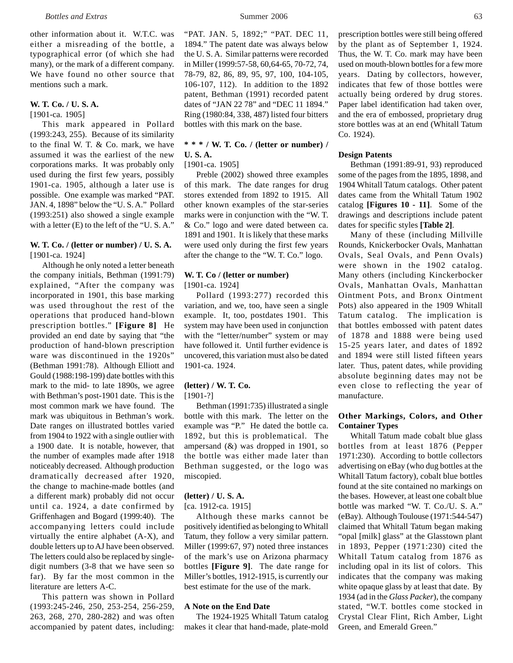other information about it. W.T.C. was either a misreading of the bottle, a typographical error (of which she had many), or the mark of a different company. We have found no other source that mentions such a mark.

# **W. T. Co. / U. S. A.**

[1901-ca. 1905]

This mark appeared in Pollard (1993:243, 255). Because of its similarity to the final W. T. & Co. mark, we have assumed it was the earliest of the new corporations marks. It was probably only used during the first few years, possibly 1901-ca. 1905, although a later use is possible. One example was marked "PAT. JAN. 4, 1898" below the "U. S. A." Pollard (1993:251) also showed a single example with a letter (E) to the left of the "U. S. A."

# **W. T. Co. / (letter or number) / U. S. A.** [1901-ca. 1924]

Although he only noted a letter beneath the company initials, Bethman (1991:79) explained, "After the company was incorporated in 1901, this base marking was used throughout the rest of the operations that produced hand-blown prescription bottles." **[Figure 8]** He provided an end date by saying that "the production of hand-blown prescription ware was discontinued in the 1920s" (Bethman 1991:78). Although Elliott and Gould (1988:198-199) date bottles with this mark to the mid- to late 1890s, we agree with Bethman's post-1901 date. This is the most common mark we have found. The mark was ubiquitous in Bethman's work. Date ranges on illustrated bottles varied from 1904 to 1922 with a single outlier with a 1900 date. It is notable, however, that the number of examples made after 1918 noticeably decreased. Although production dramatically decreased after 1920, the change to machine-made bottles (and a different mark) probably did not occur until ca. 1924, a date confirmed by Griffenhagen and Bogard (1999:40). The accompanying letters could include virtually the entire alphabet (A-X), and double letters up to AJ have been observed. The letters could also be replaced by singledigit numbers (3-8 that we have seen so far). By far the most common in the literature are letters A-C.

This pattern was shown in Pollard (1993:245-246, 250, 253-254, 256-259, 263, 268, 270, 280-282) and was often accompanied by patent dates, including:

"PAT. JAN. 5, 1892;" "PAT. DEC 11, 1894." The patent date was always below the U. S. A. Similar patterns were recorded in Miller (1999:57-58, 60,64-65, 70-72, 74, 78-79, 82, 86, 89, 95, 97, 100, 104-105, 106-107, 112). In addition to the 1892 patent, Bethman (1991) recorded patent dates of "JAN 22 78" and "DEC 11 1894." Ring (1980:84, 338, 487) listed four bitters bottles with this mark on the base.

# **\* \* \* / W. T. Co. / (letter or number) / U. S. A.**

[1901-ca. 1905]

Preble (2002) showed three examples of this mark. The date ranges for drug stores extended from 1892 to 1915. All other known examples of the star-series marks were in conjunction with the "W. T. & Co." logo and were dated between ca. 1891 and 1901. It is likely that these marks were used only during the first few years after the change to the "W. T. Co." logo.

# **W. T. Co / (letter or number)** [1901-ca. 1924]

Pollard (1993:277) recorded this variation, and we, too, have seen a single example. It, too, postdates 1901. This system may have been used in conjunction with the "letter/number" system or may have followed it. Until further evidence is uncovered, this variation must also be dated 1901-ca. 1924.

# **(letter) / W. T. Co.**

[1901-?]

Bethman (1991:735) illustrated a single bottle with this mark. The letter on the example was "P." He dated the bottle ca. 1892, but this is problematical. The ampersand  $(\&)$  was dropped in 1901, so the bottle was either made later than Bethman suggested, or the logo was miscopied.

# **(letter) / U. S. A.**

[ca. 1912-ca. 1915]

Although these marks cannot be positively identified as belonging to Whitall Tatum, they follow a very similar pattern. Miller (1999:67, 97) noted three instances of the mark's use on Arizona pharmacy bottles **[Figure 9]**. The date range for Miller's bottles, 1912-1915, is currently our best estimate for the use of the mark.

# **A Note on the End Date**

The 1924-1925 Whitall Tatum catalog makes it clear that hand-made, plate-mold prescription bottles were still being offered by the plant as of September 1, 1924. Thus, the W. T. Co. mark may have been used on mouth-blown bottles for a few more years. Dating by collectors, however, indicates that few of those bottles were actually being ordered by drug stores. Paper label identification had taken over, and the era of embossed, proprietary drug store bottles was at an end (Whitall Tatum Co. 1924).

# **Design Patents**

Bethman (1991:89-91, 93) reproduced some of the pages from the 1895, 1898, and 1904 Whitall Tatum catalogs. Other patent dates came from the Whitall Tatum 1902 catalog **[Figures 10 - 11]**. Some of the drawings and descriptions include patent dates for specific styles **[Table 2]**.

Many of these (including Millville Rounds, Knickerbocker Ovals, Manhattan Ovals, Seal Ovals, and Penn Ovals) were shown in the 1902 catalog. Many others (including Kinckerbocker Ovals, Manhattan Ovals, Manhattan Ointment Pots, and Bronx Ointment Pots) also appeared in the 1909 Whitall Tatum catalog. The implication is that bottles embossed with patent dates of 1878 and 1888 were being used 15-25 years later, and dates of 1892 and 1894 were still listed fifteen years later. Thus, patent dates, while providing absolute beginning dates may not be even close to reflecting the year of manufacture.

# **Other Markings, Colors, and Other Container Types**

Whitall Tatum made cobalt blue glass bottles from at least 1876 (Pepper 1971:230). According to bottle collectors advertising on eBay (who dug bottles at the Whitall Tatum factory), cobalt blue bottles found at the site contained no markings on the bases. However, at least one cobalt blue bottle was marked "W. T. Co./U. S. A." (eBay). Although Toulouse (1971:544-547) claimed that Whitall Tatum began making "opal [milk] glass" at the Glasstown plant in 1893, Pepper (1971:230) cited the Whitall Tatum catalog from 1876 as including opal in its list of colors. This indicates that the company was making white opaque glass by at least that date. By 1934 (ad in the *Glass Packer*), the company stated, "W.T. bottles come stocked in Crystal Clear Flint, Rich Amber, Light Green, and Emerald Green."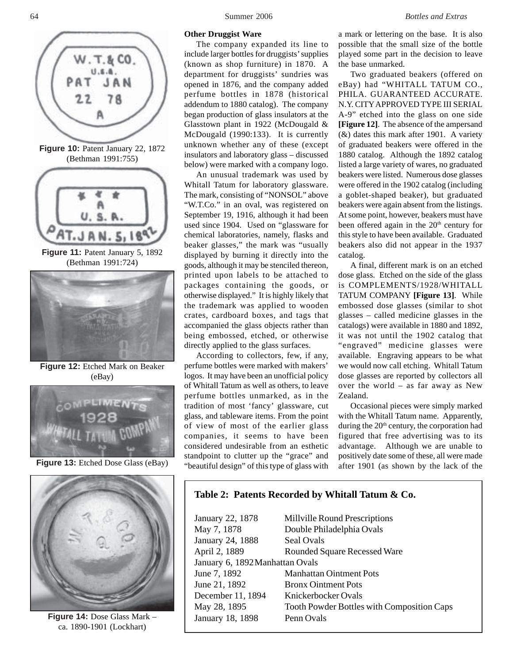

**Figure 14:** Dose Glass Mark – ca. 1890-1901 (Lockhart)

# 64 Summer 2006 *Bottles and Extras*

#### **Other Druggist Ware**

The company expanded its line to include larger bottles for druggists' supplies (known as shop furniture) in 1870. A department for druggists' sundries was opened in 1876, and the company added perfume bottles in 1878 (historical addendum to 1880 catalog). The company began production of glass insulators at the Glasstown plant in 1922 (McDougald & McDougald (1990:133). It is currently unknown whether any of these (except insulators and laboratory glass – discussed below) were marked with a company logo.

An unusual trademark was used by Whitall Tatum for laboratory glassware. The mark, consisting of "NONSOL" above "W.T.Co." in an oval, was registered on September 19, 1916, although it had been used since 1904. Used on "glassware for chemical laboratories, namely, flasks and beaker glasses," the mark was "usually displayed by burning it directly into the goods, although it may be stenciled thereon, printed upon labels to be attached to packages containing the goods, or otherwise displayed." It is highly likely that the trademark was applied to wooden crates, cardboard boxes, and tags that accompanied the glass objects rather than being embossed, etched, or otherwise directly applied to the glass surfaces.

According to collectors, few, if any, perfume bottles were marked with makers' logos. It may have been an unofficial policy of Whitall Tatum as well as others, to leave perfume bottles unmarked, as in the tradition of most 'fancy' glassware, cut glass, and tableware items. From the point of view of most of the earlier glass companies, it seems to have been considered undesirable from an esthetic standpoint to clutter up the "grace" and "beautiful design" of this type of glass with

a mark or lettering on the base. It is also possible that the small size of the bottle played some part in the decision to leave the base unmarked.

Two graduated beakers (offered on eBay) had "WHITALL TATUM CO., PHILA. GUARANTEED ACCURATE. N.Y. CITY APPROVED TYPE III SERIAL A-9" etched into the glass on one side **[Figure 12]**. The absence of the ampersand (&) dates this mark after 1901. A variety of graduated beakers were offered in the 1880 catalog. Although the 1892 catalog listed a large variety of wares, no graduated beakers were listed. Numerous dose glasses were offered in the 1902 catalog (including a goblet-shaped beaker), but graduated beakers were again absent from the listings. At some point, however, beakers must have been offered again in the 20<sup>th</sup> century for this style to have been available. Graduated beakers also did not appear in the 1937 catalog.

A final, different mark is on an etched dose glass. Etched on the side of the glass is COMPLEMENTS/1928/WHITALL TATUM COMPANY **[Figure 13]**. While embossed dose glasses (similar to shot glasses – called medicine glasses in the catalogs) were available in 1880 and 1892, it was not until the 1902 catalog that "engraved" medicine glasses were available. Engraving appears to be what we would now call etching. Whitall Tatum dose glasses are reported by collectors all over the world – as far away as New Zealand.

Occasional pieces were simply marked with the Whitall Tatum name. Apparently, during the  $20<sup>th</sup>$  century, the corporation had figured that free advertising was to its advantage. Although we are unable to positively date some of these, all were made after 1901 (as shown by the lack of the

# **Table 2: Patents Recorded by Whitall Tatum & Co.**

| January 22, 1878                | Millville Round Prescriptions              |
|---------------------------------|--------------------------------------------|
| May 7, 1878                     | Double Philadelphia Ovals                  |
| January 24, 1888                | Seal Ovals                                 |
| April 2, 1889                   | <b>Rounded Square Recessed Ware</b>        |
| January 6, 1892 Manhattan Ovals |                                            |
| June 7, 1892                    | <b>Manhattan Ointment Pots</b>             |
| June 21, 1892                   | <b>Bronx Ointment Pots</b>                 |
| December 11, 1894               | Knickerbocker Ovals                        |
| May 28, 1895                    | Tooth Powder Bottles with Composition Caps |
| January 18, 1898                | Penn Ovals                                 |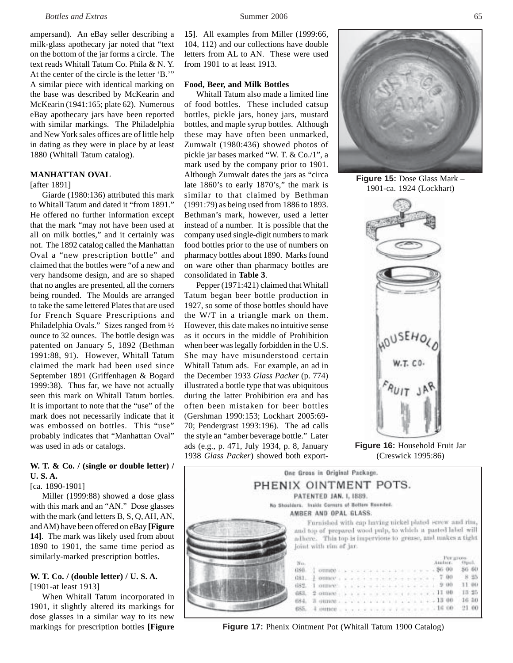ampersand). An eBay seller describing a milk-glass apothecary jar noted that "text on the bottom of the jar forms a circle. The text reads Whitall Tatum Co. Phila & N. Y. At the center of the circle is the letter 'B.'" A similar piece with identical marking on the base was described by McKearin and McKearin (1941:165; plate 62). Numerous eBay apothecary jars have been reported with similar markings. The Philadelphia and New York sales offices are of little help in dating as they were in place by at least 1880 (Whitall Tatum catalog).

# **MANHATTAN OVAL**

[after 1891]

Giarde (1980:136) attributed this mark to Whitall Tatum and dated it "from 1891." He offered no further information except that the mark "may not have been used at all on milk bottles," and it certainly was not. The 1892 catalog called the Manhattan Oval a "new prescription bottle" and claimed that the bottles were "of a new and very handsome design, and are so shaped that no angles are presented, all the corners being rounded. The Moulds are arranged to take the same lettered Plates that are used for French Square Prescriptions and Philadelphia Ovals." Sizes ranged from ½ ounce to 32 ounces. The bottle design was patented on January 5, 1892 (Bethman 1991:88, 91). However, Whitall Tatum claimed the mark had been used since September 1891 (Griffenhagen & Bogard 1999:38). Thus far, we have not actually seen this mark on Whitall Tatum bottles. It is important to note that the "use" of the mark does not necessarily indicate that it was embossed on bottles. This "use" probably indicates that "Manhattan Oval" was used in ads or catalogs.

## **W. T. & Co. / (single or double letter) / U. S. A.**

#### [ca. 1890-1901]

Miller (1999:88) showed a dose glass with this mark and an "AN." Dose glasses with the mark (and letters B, S, Q, AH, AN, and AM) have been offered on eBay **[Figure 14]**. The mark was likely used from about 1890 to 1901, the same time period as similarly-marked prescription bottles.

#### **W. T. Co. / (double letter) / U. S. A.** [1901-at least 1913]

When Whitall Tatum incorporated in 1901, it slightly altered its markings for dose glasses in a similar way to its new markings for prescription bottles **[Figure**

**15]**. All examples from Miller (1999:66, 104, 112) and our collections have double letters from AL to AN. These were used from 1901 to at least 1913.

# **Food, Beer, and Milk Bottles**

Whitall Tatum also made a limited line of food bottles. These included catsup bottles, pickle jars, honey jars, mustard bottles, and maple syrup bottles. Although these may have often been unmarked, Zumwalt (1980:436) showed photos of pickle jar bases marked "W. T. & Co./1", a mark used by the company prior to 1901. Although Zumwalt dates the jars as "circa late 1860's to early 1870's," the mark is similar to that claimed by Bethman (1991:79) as being used from 1886 to 1893. Bethman's mark, however, used a letter instead of a number. It is possible that the company used single-digit numbers to mark food bottles prior to the use of numbers on pharmacy bottles about 1890. Marks found on ware other than pharmacy bottles are consolidated in **Table 3**.

Pepper (1971:421) claimed that Whitall Tatum began beer bottle production in 1927, so some of those bottles should have the W/T in a triangle mark on them. However, this date makes no intuitive sense as it occurs in the middle of Prohibition when beer was legally forbidden in the U.S. She may have misunderstood certain Whitall Tatum ads. For example, an ad in the December 1933 *Glass Packer* (p. 774) illustrated a bottle type that was ubiquitous during the latter Prohibition era and has often been mistaken for beer bottles (Gershman 1990:153; Lockhart 2005:69- 70; Pendergrast 1993:196). The ad calls the style an "amber beverage bottle." Later ads (e.g., p. 471, July 1934, p. 8, January 1938 *Glass Packer*) showed both export-



**Figure 15:** Dose Glass Mark – 1901-ca. 1924 (Lockhart)



**Figure 16:** Household Fruit Jar (Creswick 1995:86)

|                       | One Gross in Original Package.                  |                                                                                       |  |  |  |  |  |  |  |                    |
|-----------------------|-------------------------------------------------|---------------------------------------------------------------------------------------|--|--|--|--|--|--|--|--------------------|
| PHENIX OINTMENT POTS. |                                                 |                                                                                       |  |  |  |  |  |  |  |                    |
|                       |                                                 | PATENTED JAN. I, 1889.                                                                |  |  |  |  |  |  |  |                    |
|                       | No Shouldars. Inside Corners of Bottom Reunded. |                                                                                       |  |  |  |  |  |  |  |                    |
|                       |                                                 | AMBER AND OPAL GLASS.                                                                 |  |  |  |  |  |  |  |                    |
|                       |                                                 |                                                                                       |  |  |  |  |  |  |  |                    |
|                       |                                                 | adhere. This top is impervious to grease, and makes a tight<br>joint with rim of jar. |  |  |  |  |  |  |  |                    |
|                       | No.                                             |                                                                                       |  |  |  |  |  |  |  | 56 60              |
|                       | 1180                                            | omnot a product a series and a series of \$6,00                                       |  |  |  |  |  |  |  | 8 95               |
|                       |                                                 | 681. $\frac{1}{6}$ onney 7 00<br>682. I connect y a v y y + + + + + + + + + + + + 00  |  |  |  |  |  |  |  |                    |
|                       |                                                 | 683, 2 ounce $\cdots$ 11 00                                                           |  |  |  |  |  |  |  | 11.00<br>13:25     |
|                       |                                                 | 684, 3 compete a contract of a contract and 13 00<br>655. 4 cument 16 co              |  |  |  |  |  |  |  | $16 - 50$<br>21.00 |

**Figure 17:** Phenix Ointment Pot (Whitall Tatum 1900 Catalog)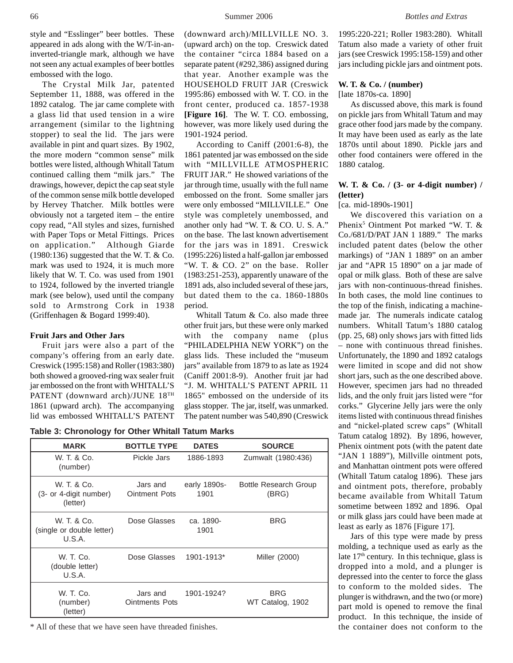style and "Esslinger" beer bottles. These appeared in ads along with the W/T-in-aninverted-triangle mark, although we have not seen any actual examples of beer bottles embossed with the logo.

The Crystal Milk Jar, patented September 11, 1888, was offered in the 1892 catalog. The jar came complete with a glass lid that used tension in a wire arrangement (similar to the lightning stopper) to seal the lid. The jars were available in pint and quart sizes. By 1902, the more modern "common sense" milk bottles were listed, although Whitall Tatum continued calling them "milk jars." The drawings, however, depict the cap seat style of the common sense milk bottle developed by Hervey Thatcher. Milk bottles were obviously not a targeted item – the entire copy read, "All styles and sizes, furnished with Paper Tops or Metal Fittings. Prices on application." Although Giarde  $(1980:136)$  suggested that the W. T. & Co. mark was used to 1924, it is much more likely that W. T. Co. was used from 1901 to 1924, followed by the inverted triangle mark (see below), used until the company sold to Armstrong Cork in 1938 (Griffenhagen & Bogard 1999:40).

#### **Fruit Jars and Other Jars**

Fruit jars were also a part of the company's offering from an early date. Creswick (1995:158) and Roller (1983:380) both showed a grooved-ring wax sealer fruit jar embossed on the front with WHITALL'S PATENT (downward arch)/JUNE 18TH 1861 (upward arch). The accompanying lid was embossed WHITALL'S PATENT

(downward arch)/MILLVILLE NO. 3. (upward arch) on the top. Creswick dated the container "circa 1884 based on a separate patent (#292,386) assigned during that year. Another example was the HOUSEHOLD FRUIT JAR (Creswick 1995:86) embossed with W. T. CO. in the front center, produced ca. 1857-1938 **[Figure 16]**. The W. T. CO. embossing, however, was more likely used during the 1901-1924 period.

According to Caniff (2001:6-8), the 1861 patented jar was embossed on the side with "MILLVILLE ATMOSPHERIC FRUIT JAR." He showed variations of the jar through time, usually with the full name embossed on the front. Some smaller jars were only embossed "MILLVILLE." One style was completely unembossed, and another only had "W. T. & CO. U. S. A." on the base. The last known advertisement for the jars was in 1891. Creswick (1995:226) listed a half-gallon jar embossed "W. T. & CO. 2" on the base. Roller (1983:251-253), apparently unaware of the 1891 ads, also included several of these jars, but dated them to the ca. 1860-1880s period.

Whitall Tatum & Co. also made three other fruit jars, but these were only marked with the company name (plus "PHILADELPHIA NEW YORK") on the glass lids. These included the "museum jars" available from 1879 to as late as 1924 (Caniff 2001:8-9). Another fruit jar had "J. M. WHITALL'S PATENT APRIL 11 1865" embossed on the underside of its glass stopper. The jar, itself, was unmarked. The patent number was 540,890 (Creswick

**Table 3: Chronology for Other Whitall Tatum Marks**

| <b>MARK</b>                                        | <b>BOTTLE TYPE</b>                | <b>DATES</b>         | <b>SOURCE</b>                         |
|----------------------------------------------------|-----------------------------------|----------------------|---------------------------------------|
| W. T. & Co.<br>(number)                            | Pickle Jars                       | 1886-1893            | Zumwalt (1980:436)                    |
| W. T. & Co.<br>(3- or 4-digit number)<br>(letter)  | Jars and<br><b>Ointment Pots</b>  | early 1890s-<br>1901 | <b>Bottle Research Group</b><br>(BRG) |
| W. T. & Co.<br>(single or double letter)<br>U.S.A. | Dose Glasses                      | ca. 1890-<br>1901    | <b>BRG</b>                            |
| W. T. Co.<br>(double letter)<br>U.S.A.             | Dose Glasses                      | 1901-1913*           | Miller (2000)                         |
| W. T. Co.<br>(number)<br>(letter)                  | Jars and<br><b>Ointments Pots</b> | 1901-1924?           | <b>BRG</b><br>WT Catalog, 1902        |

\* All of these that we have seen have threaded finishes.

1995:220-221; Roller 1983:280). Whitall Tatum also made a variety of other fruit jars (see Creswick 1995:158-159) and other jars including pickle jars and ointment pots.

#### **W. T. & Co. / (number)**

[late 1870s-ca. 1890]

As discussed above, this mark is found on pickle jars from Whitall Tatum and may grace other food jars made by the company. It may have been used as early as the late 1870s until about 1890. Pickle jars and other food containers were offered in the 1880 catalog.

# **W. T. & Co. / (3- or 4-digit number) / (letter)**

[ca. mid-1890s-1901]

We discovered this variation on a Phenix<sup>5</sup> Ointment Pot marked "W. T. & Co./681/D/PAT JAN 1 1889." The marks included patent dates (below the other markings) of "JAN 1 1889" on an amber jar and "APR 15 1890" on a jar made of opal or milk glass. Both of these are salve jars with non-continuous-thread finishes. In both cases, the mold line continues to the top of the finish, indicating a machinemade jar. The numerals indicate catalog numbers. Whitall Tatum's 1880 catalog (pp. 25, 68) only shows jars with fitted lids – none with continuous thread finishes. Unfortunately, the 1890 and 1892 catalogs were limited in scope and did not show short jars, such as the one described above. However, specimen jars had no threaded lids, and the only fruit jars listed were "for corks." Glycerine Jelly jars were the only items listed with continuous thread finishes and "nickel-plated screw caps" (Whitall Tatum catalog 1892). By 1896, however, Phenix ointment pots (with the patent date "JAN 1 1889"), Millville ointment pots, and Manhattan ointment pots were offered (Whitall Tatum catalog 1896). These jars and ointment pots, therefore, probably became available from Whitall Tatum sometime between 1892 and 1896. Opal or milk glass jars could have been made at least as early as 1876 [Figure 17].

Jars of this type were made by press molding, a technique used as early as the late  $17<sup>th</sup>$  century. In this technique, glass is dropped into a mold, and a plunger is depressed into the center to force the glass to conform to the molded sides. The plunger is withdrawn, and the two (or more) part mold is opened to remove the final product. In this technique, the inside of the container does not conform to the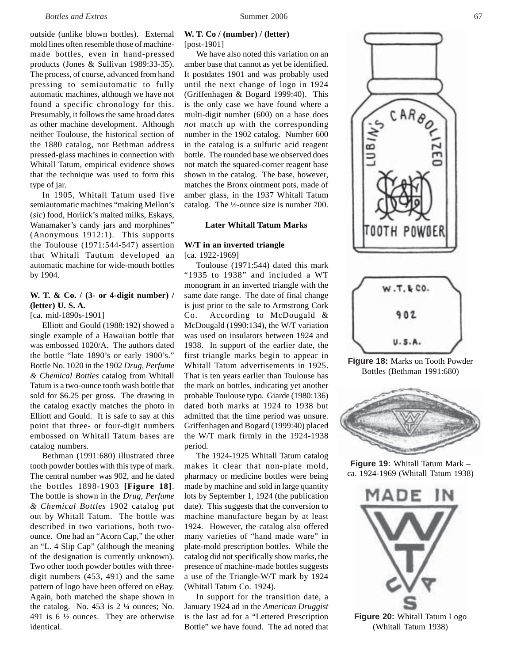outside (unlike blown bottles). External mold lines often resemble those of machinemade bottles, even in hand-pressed products (Jones & Sullivan 1989:33-35). The process, of course, advanced from hand pressing to semiautomatic to fully automatic machines, although we have not found a specific chronology for this. Presumably, it follows the same broad dates as other machine development. Although neither Toulouse, the historical section of the 1880 catalog, nor Bethman address pressed-glass machines in connection with Whitall Tatum, empirical evidence shows that the technique was used to form this type of jar.

In 1905, Whitall Tatum used five semiautomatic machines "making Mellon's (*sic*) food, Horlick's malted milks, Eskays, Wanamaker's candy jars and morphines" (Anonymous 1912:1). This supports the Toulouse (1971:544-547) assertion that Whitall Tautum developed an automatic machine for wide-mouth bottles by 1904.

# **W. T. & Co. / (3- or 4-digit number) / (letter) U. S. A.**

[ca. mid-1890s-1901]

Elliott and Gould (1988:192) showed a single example of a Hawaiian bottle that was embossed 1020/A. The authors dated the bottle "late 1890's or early 1900's." Bottle No. 1020 in the 1902 *Drug, Perfume & Chemical Bottles* catalog from Whitall Tatum is a two-ounce tooth wash bottle that sold for \$6.25 per gross. The drawing in the catalog exactly matches the photo in Elliott and Gould. It is safe to say at this point that three- or four-digit numbers embossed on Whitall Tatum bases are catalog numbers.

Bethman (1991:680) illustrated three tooth powder bottles with this type of mark. The central number was 902, and he dated the bottles 1898-1903 **[Figure 18]**. The bottle is shown in the *Drug, Perfume & Chemical Bottles* 1902 catalog put out by Whitall Tatum. The bottle was described in two variations, both twoounce. One had an "Acorn Cap," the other an "L. 4 Slip Cap" (although the meaning of the designation is currently unknown). Two other tooth powder bottles with threedigit numbers (453, 491) and the same pattern of logo have been offered on eBay. Again, both matched the shape shown in the catalog. No. 453 is 2 ¼ ounces; No. 491 is  $6\frac{1}{2}$  ounces. They are otherwise identical.

### **W. T. Co / (number) / (letter)** [post-1901]

We have also noted this variation on an amber base that cannot as yet be identified. It postdates 1901 and was probably used until the next change of logo in 1924 (Griffenhagen & Bogard 1999:40). This is the only case we have found where a multi-digit number (600) on a base does *not* match up with the corresponding number in the 1902 catalog. Number 600 in the catalog is a sulfuric acid reagent bottle. The rounded base we observed does not match the squared-corner reagent base shown in the catalog. The base, however, matches the Bronx ointment pots, made of amber glass, in the 1937 Whitall Tatum catalog. The ½-ounce size is number 700.

## **Later Whitall Tatum Marks**

#### **W/T in an inverted triangle** [ca. 1922-1969]

Toulouse (1971:544) dated this mark "1935 to 1938" and included a WT monogram in an inverted triangle with the same date range. The date of final change is just prior to the sale to Armstrong Cork Co. According to McDougald & McDougald (1990:134), the W/T variation was used on insulators between 1924 and 1938. In support of the earlier date, the first triangle marks begin to appear in Whitall Tatum advertisements in 1925. That is ten years earlier than Toulouse has the mark on bottles, indicating yet another probable Toulouse typo. Giarde (1980:136) dated both marks at 1924 to 1938 but admitted that the time period was unsure. Griffenhagen and Bogard (1999:40) placed the W/T mark firmly in the 1924-1938 period.

The 1924-1925 Whitall Tatum catalog makes it clear that non-plate mold, pharmacy or medicine bottles were being made by machine and sold in large quantity lots by September 1, 1924 (the publication date). This suggests that the conversion to machine manufacture began by at least 1924. However, the catalog also offered many varieties of "hand made ware" in plate-mold prescription bottles. While the catalog did not specifically show marks, the presence of machine-made bottles suggests a use of the Triangle-W/T mark by 1924 (Whitall Tatum Co. 1924).

In support for the transition date, a January 1924 ad in the *American Druggist* is the last ad for a "Lettered Prescription Bottle" we have found. The ad noted that





**Figure 18:** Marks on Tooth Powder Bottles (Bethman 1991:680)



**Figure 19:** Whitall Tatum Mark – ca. 1924-1969 (Whitall Tatum 1938)



(Whitall Tatum 1938)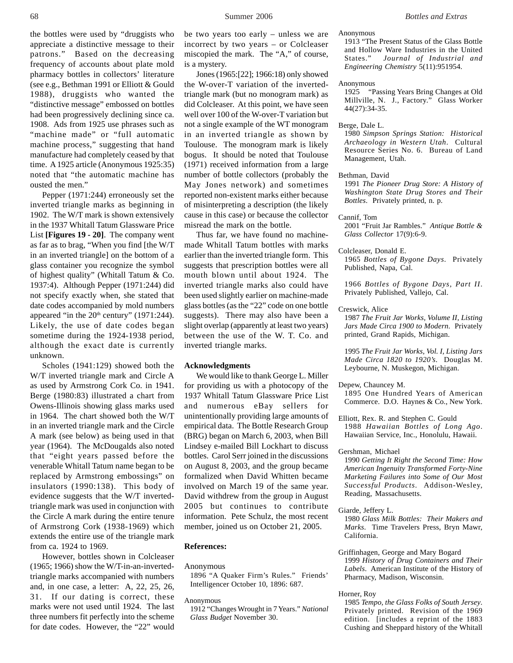the bottles were used by "druggists who appreciate a distinctive message to their patrons." Based on the decreasing frequency of accounts about plate mold pharmacy bottles in collectors' literature (see e.g., Bethman 1991 or Elliott & Gould 1988), druggists who wanted the "distinctive message" embossed on bottles had been progressively declining since ca. 1908. Ads from 1925 use phrases such as "machine made" or "full automatic machine process," suggesting that hand manufacture had completely ceased by that time. A 1925 article (Anonymous 1925:35) noted that "the automatic machine has ousted the men."

Pepper (1971:244) erroneously set the inverted triangle marks as beginning in 1902. The W/T mark is shown extensively in the 1937 Whitall Tatum Glassware Price List **[Figures 19 - 20]**. The company went as far as to brag, "When you find [the W/T in an inverted triangle] on the bottom of a glass container you recognize the symbol of highest quality" (Whitall Tatum & Co. 1937:4). Although Pepper (1971:244) did not specify exactly when, she stated that date codes accompanied by mold numbers appeared "in the  $20<sup>th</sup>$  century" (1971:244). Likely, the use of date codes began sometime during the 1924-1938 period, although the exact date is currently unknown.

Scholes (1941:129) showed both the W/T inverted triangle mark and Circle A as used by Armstrong Cork Co. in 1941. Berge (1980:83) illustrated a chart from Owens-Illinois showing glass marks used in 1964. The chart showed both the W/T in an inverted triangle mark and the Circle A mark (see below) as being used in that year (1964). The McDougalds also noted that "eight years passed before the venerable Whitall Tatum name began to be replaced by Armstrong embossings" on insulators (1990:138). This body of evidence suggests that the W/T invertedtriangle mark was used in conjunction with the Circle A mark during the entire tenure of Armstrong Cork (1938-1969) which extends the entire use of the triangle mark from ca. 1924 to 1969.

However, bottles shown in Colcleaser (1965; 1966) show the W/T-in-an-invertedtriangle marks accompanied with numbers and, in one case, a letter: A, 22, 25, 26, 31. If our dating is correct, these marks were not used until 1924. The last three numbers fit perfectly into the scheme for date codes. However, the "22" would

be two years too early – unless we are incorrect by two years – or Colcleaser miscopied the mark. The "A," of course, is a mystery.

Jones (1965:[22]; 1966:18) only showed the W-over-T variation of the invertedtriangle mark (but no monogram mark) as did Colcleaser. At this point, we have seen well over 100 of the W-over-T variation but not a single example of the WT monogram in an inverted triangle as shown by Toulouse. The monogram mark is likely bogus. It should be noted that Toulouse (1971) received information from a large number of bottle collectors (probably the May Jones network) and sometimes reported non-existent marks either because of misinterpreting a description (the likely cause in this case) or because the collector misread the mark on the bottle.

Thus far, we have found no machinemade Whitall Tatum bottles with marks earlier than the inverted triangle form. This suggests that prescription bottles were all mouth blown until about 1924. The inverted triangle marks also could have been used slightly earlier on machine-made glass bottles (as the "22" code on one bottle suggests). There may also have been a slight overlap (apparently at least two years) between the use of the W. T. Co. and inverted triangle marks.

#### **Acknowledgments**

We would like to thank George L. Miller for providing us with a photocopy of the 1937 Whitall Tatum Glassware Price List and numerous eBay sellers for unintentionally providing large amounts of empirical data. The Bottle Research Group (BRG) began on March 6, 2003, when Bill Lindsey e-mailed Bill Lockhart to discuss bottles. Carol Serr joined in the discussions on August 8, 2003, and the group became formalized when David Whitten became involved on March 19 of the same year. David withdrew from the group in August 2005 but continues to contribute information. Pete Schulz, the most recent member, joined us on October 21, 2005.

#### **References:**

Anonymous

1896 "A Quaker Firm's Rules." Friends' Intelligencer October 10, 1896: 687.

Anonymous

1912 "Changes Wrought in 7 Years." *National Glass Budget* November 30.

Anonymous

1913 "The Present Status of the Glass Bottle and Hollow Ware Industries in the United States." *Journal of Industrial and Engineering Chemistry* 5(11):951954.

Anonymous

1925 "Passing Years Bring Changes at Old Millville, N. J., Factory." Glass Worker 44(27):34-35.

Berge, Dale L.

1980 *Simpson Springs Station: Historical Archaeology in Western Utah*. Cultural Resource Series No. 6. Bureau of Land Management, Utah.

Bethman, David

1991 *The Pioneer Drug Store: A History of Washington State Drug Stores and Their Bottles*. Privately printed, n. p.

Cannif, Tom

2001 "Fruit Jar Rambles." *Antique Bottle & Glass Collector* 17(9):6-9.

Colcleaser, Donald E. 1965 *Bottles of Bygone Days*. Privately Published, Napa, Cal.

1966 *Bottles of Bygone Days, Part II*. Privately Published, Vallejo, Cal.

Creswick, Alice

1987 *The Fruit Jar Works, Volume II, Listing Jars Made Circa 1900 to Modern*. Privately printed, Grand Rapids, Michigan.

1995 *The Fruit Jar Works, Vol. I, Listing Jars Made Circa 1820 to 1920's*. Douglas M. Leybourne, N. Muskegon, Michigan.

Depew, Chauncey M. 1895 One Hundred Years of American Commerce. D.O. Haynes & Co., New York.

Elliott, Rex. R. and Stephen C. Gould 1988 *Hawaiian Bottles of Long Ago*. Hawaiian Service, Inc., Honolulu, Hawaii.

Gershman, Michael

1990 *Getting It Right the Second Time: How American Ingenuity Transformed Forty-Nine Marketing Failures into Some of Our Most Successful Products*. Addison-Wesley, Reading, Massachusetts.

Giarde, Jeffery L.

1980 *Glass Milk Bottles: Their Makers and Marks*. Time Travelers Press, Bryn Mawr, California.

Griffinhagen, George and Mary Bogard 1999 *History of Drug Containers and Their Labels*. American Institute of the History of Pharmacy, Madison, Wisconsin.

Horner, Roy

1985 *Tempo, the Glass Folks of South Jersey*. Privately printed. Revision of the 1969 edition. [includes a reprint of the 1883 Cushing and Sheppard history of the Whitall